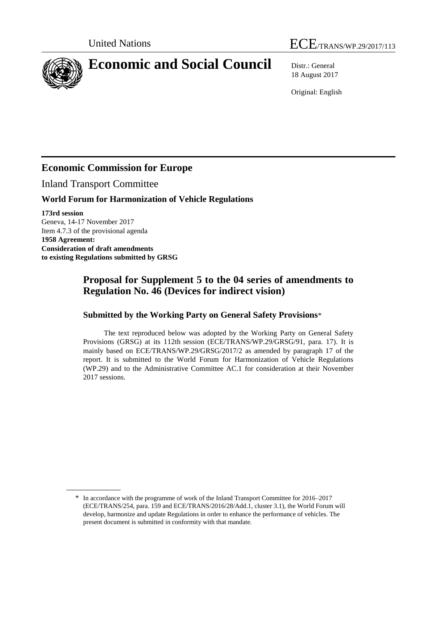



# 18 August 2017

Original: English

## **Economic Commission for Europe**

Inland Transport Committee

### **World Forum for Harmonization of Vehicle Regulations**

**173rd session** Geneva, 14-17 November 2017 Item 4.7.3 of the provisional agenda **1958 Agreement: Consideration of draft amendments to existing Regulations submitted by GRSG**

## **Proposal for Supplement 5 to the 04 series of amendments to Regulation No. 46 (Devices for indirect vision)**

#### **Submitted by the Working Party on General Safety Provisions**\*

The text reproduced below was adopted by the Working Party on General Safety Provisions (GRSG) at its 112th session (ECE/TRANS/WP.29/GRSG/91, para. 17). It is mainly based on ECE/TRANS/WP.29/GRSG/2017/2 as amended by paragraph 17 of the report. It is submitted to the World Forum for Harmonization of Vehicle Regulations (WP.29) and to the Administrative Committee AC.1 for consideration at their November 2017 sessions.

<sup>\*</sup> In accordance with the programme of work of the Inland Transport Committee for 2016–2017 (ECE/TRANS/254, para. 159 and ECE/TRANS/2016/28/Add.1, cluster 3.1), the World Forum will develop, harmonize and update Regulations in order to enhance the performance of vehicles. The present document is submitted in conformity with that mandate.